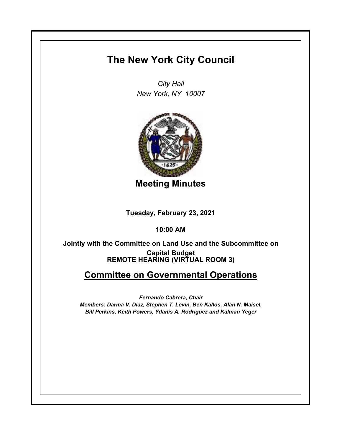## **The New York City Council**

*City Hall New York, NY 10007*



**Meeting Minutes**

**Tuesday, February 23, 2021**

**10:00 AM**

**REMOTE HEARING (VIRTUAL ROOM 3) Jointly with the Committee on Land Use and the Subcommittee on Capital Budget**

## **Committee on Governmental Operations**

*Fernando Cabrera, Chair Members: Darma V. Diaz, Stephen T. Levin, Ben Kallos, Alan N. Maisel, Bill Perkins, Keith Powers, Ydanis A. Rodriguez and Kalman Yeger*